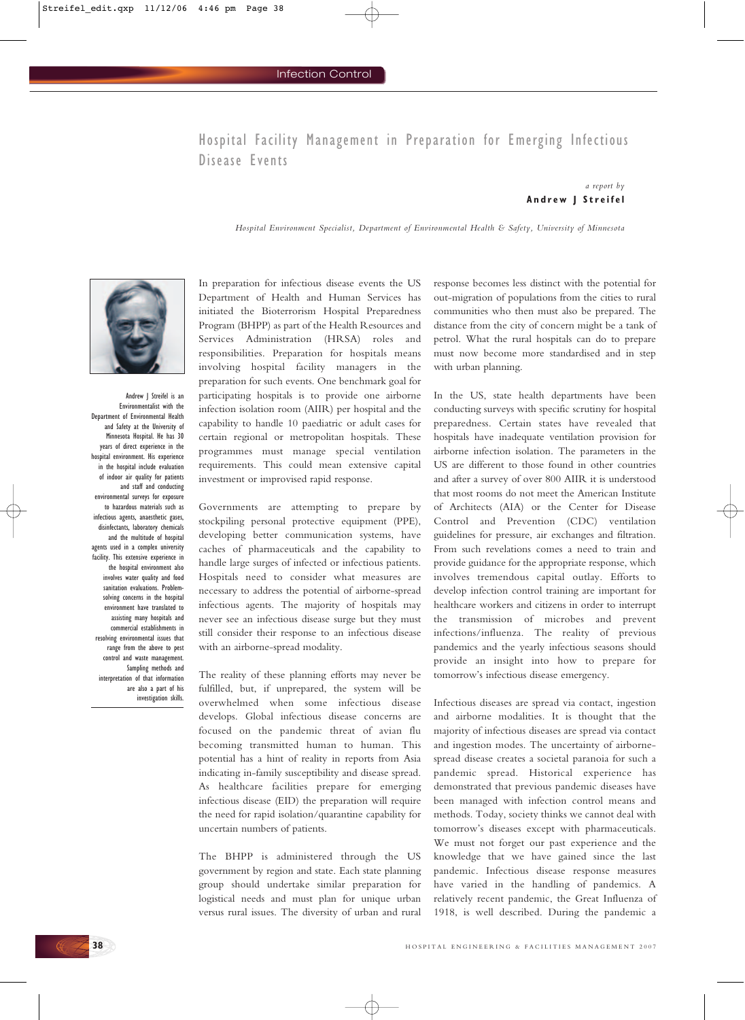## Hospital Facility Management in Preparation for Emerging Infectious Disease Events

### *a report by*  **Andrew J Streifel**

*Hospital Environment Specialist, Department of Environmental Health & Safety, University of Minnesota*



Andrew J Streifel is an Environmentalist with the Department of Environmental Health and Safety at the University of Minnesota Hospital. He has 30 years of direct experience in the hospital environment. His experience in the hospital include evaluation of indoor air quality for patients and staff and conducting environmental surveys for exposure to hazardous materials such as infectious agents, anaesthetic gases, disinfectants, laboratory chemicals and the multitude of hospital agents used in a complex university facility. This extensive experience in the hospital environment also involves water quality and food sanitation evaluations. Problemsolving concerns in the hospital environment have translated to assisting many hospitals and commercial establishments in resolving environmental issues that range from the above to pest control and waste management. Sampling methods and interpretation of that information are also a part of his investigation skills.

In preparation for infectious disease events the US Department of Health and Human Services has initiated the Bioterrorism Hospital Preparedness Program (BHPP) as part of the Health Resources and Services Administration (HRSA) roles and responsibilities. Preparation for hospitals means involving hospital facility managers in the preparation for such events. One benchmark goal for participating hospitals is to provide one airborne infection isolation room (AIIR) per hospital and the capability to handle 10 paediatric or adult cases for certain regional or metropolitan hospitals. These programmes must manage special ventilation requirements. This could mean extensive capital investment or improvised rapid response.

Governments are attempting to prepare by stockpiling personal protective equipment (PPE), developing better communication systems, have caches of pharmaceuticals and the capability to handle large surges of infected or infectious patients. Hospitals need to consider what measures are necessary to address the potential of airborne-spread infectious agents. The majority of hospitals may never see an infectious disease surge but they must still consider their response to an infectious disease with an airborne-spread modality.

The reality of these planning efforts may never be fulfilled, but, if unprepared, the system will be overwhelmed when some infectious disease develops. Global infectious disease concerns are focused on the pandemic threat of avian flu becoming transmitted human to human. This potential has a hint of reality in reports from Asia indicating in-family susceptibility and disease spread. As healthcare facilities prepare for emerging infectious disease (EID) the preparation will require the need for rapid isolation/quarantine capability for uncertain numbers of patients.

The BHPP is administered through the US government by region and state. Each state planning group should undertake similar preparation for logistical needs and must plan for unique urban versus rural issues. The diversity of urban and rural response becomes less distinct with the potential for out-migration of populations from the cities to rural communities who then must also be prepared. The distance from the city of concern might be a tank of petrol. What the rural hospitals can do to prepare must now become more standardised and in step with urban planning.

In the US, state health departments have been conducting surveys with specific scrutiny for hospital preparedness. Certain states have revealed that hospitals have inadequate ventilation provision for airborne infection isolation. The parameters in the US are different to those found in other countries and after a survey of over 800 AIIR it is understood that most rooms do not meet the American Institute of Architects (AIA) or the Center for Disease Control and Prevention (CDC) ventilation guidelines for pressure, air exchanges and filtration. From such revelations comes a need to train and provide guidance for the appropriate response, which involves tremendous capital outlay. Efforts to develop infection control training are important for healthcare workers and citizens in order to interrupt the transmission of microbes and prevent infections/influenza. The reality of previous pandemics and the yearly infectious seasons should provide an insight into how to prepare for tomorrow's infectious disease emergency.

Infectious diseases are spread via contact, ingestion and airborne modalities. It is thought that the majority of infectious diseases are spread via contact and ingestion modes. The uncertainty of airbornespread disease creates a societal paranoia for such a pandemic spread. Historical experience has demonstrated that previous pandemic diseases have been managed with infection control means and methods. Today, society thinks we cannot deal with tomorrow's diseases except with pharmaceuticals. We must not forget our past experience and the knowledge that we have gained since the last pandemic. Infectious disease response measures have varied in the handling of pandemics. A relatively recent pandemic, the Great Influenza of 1918, is well described. During the pandemic a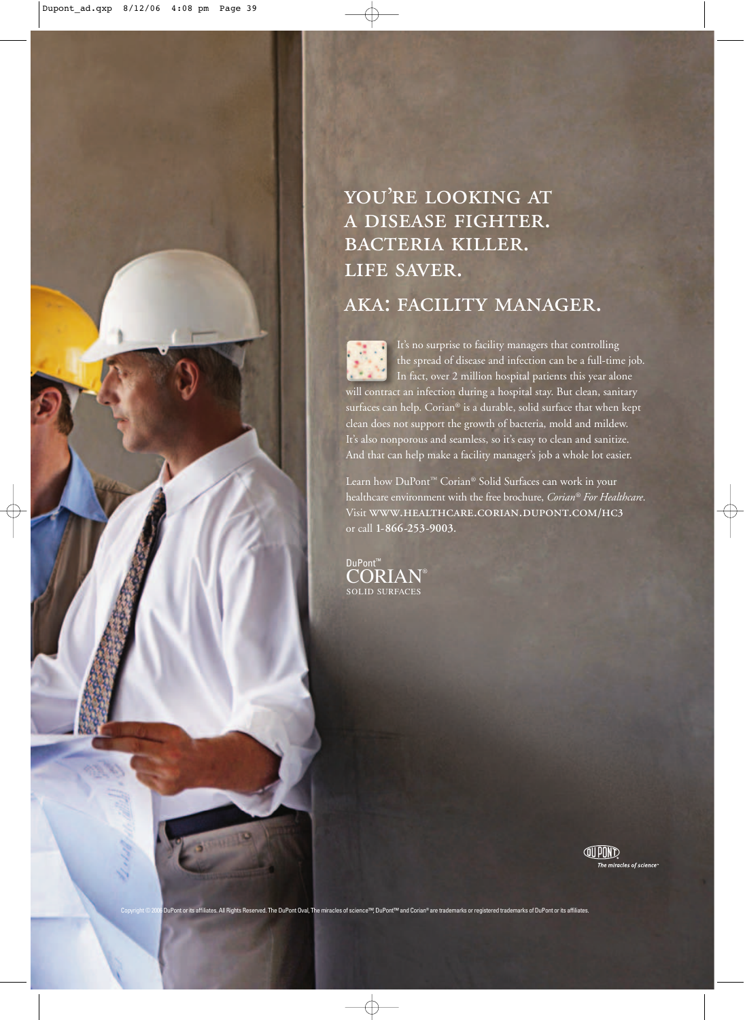## YOU'RE LOOKING AT A DISEASE FIGHTER. BACTERIA KILLER. LIFE SAVER.

## AKA: FACILITY MANAGER.

It's no surprise to facility managers that controlling the spread of disease and infection can be a full-time job. In fact, over 2 million hospital patients this year alone will contract an infection during a hospital stay. But clean, sanitary surfaces can help. Corian® is a durable, solid surface that when kept clean does not support the growth of bacteria, mold and mildew. It's also nonporous and seamless, so it's easy to clean and sanitize. And that can help make a facility manager's job a whole lot easier.

Learn how DuPont™ Corian® Solid Surfaces can work in your healthcare environment with the free brochure, *Corian® For Healthcare*. Visit WWW.HEALTHCARE.CORIAN.DUPONT.COM/HC3 or call **1-866 -253-9003.**

CORIAN® SOLID SURFACES DuPont<sup>™</sup>

> **JUPIND** The miracles of science<sup>.</sup>

uPont or its affiliates. All Rights Reserved. The DuPont Oval, The miracles of science™, DuPont™ and Corian® are trademarks or registered trademarks of DuPont or its affiliates.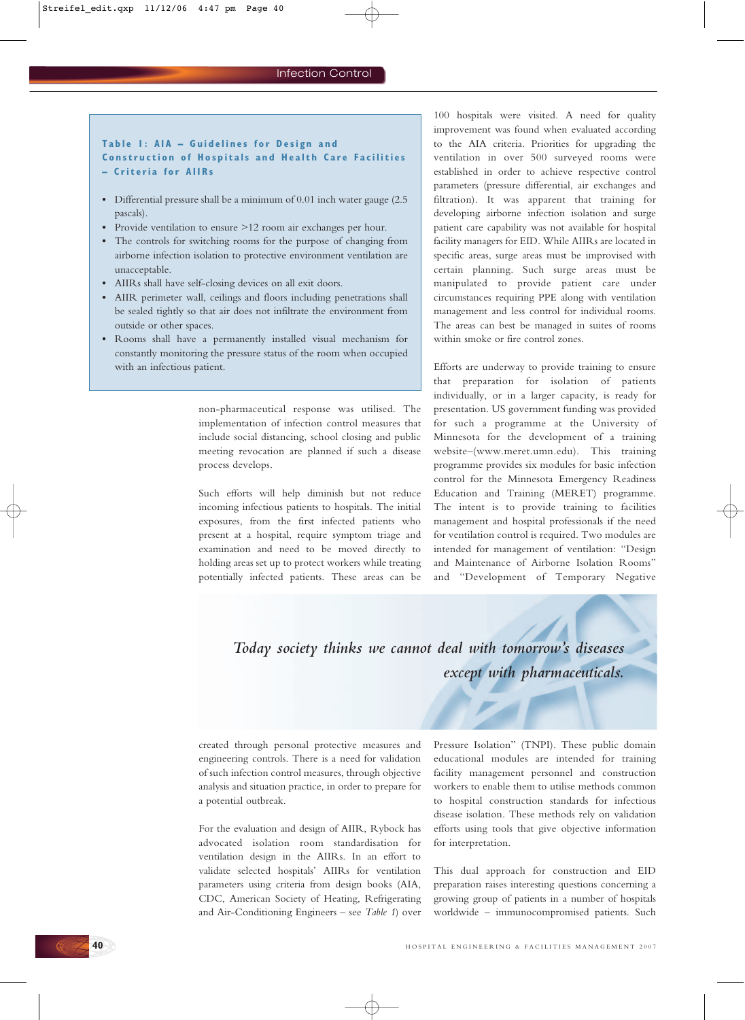#### **Table 1: AIA – Guidelines for Design and Construction of Hospitals and Health Care Facilities – Criteria for AIIRs**

- **•** Differential pressure shall be a minimum of 0.01 inch water gauge (2.5 pascals).
- **•** Provide ventilation to ensure >12 room air exchanges per hour.
- **•** The controls for switching rooms for the purpose of changing from airborne infection isolation to protective environment ventilation are unacceptable.
- **•** AIIRs shall have self-closing devices on all exit doors.
- **•** AIIR perimeter wall, ceilings and floors including penetrations shall be sealed tightly so that air does not infiltrate the environment from outside or other spaces.
- **•** Rooms shall have a permanently installed visual mechanism for constantly monitoring the pressure status of the room when occupied with an infectious patient.

non-pharmaceutical response was utilised. The implementation of infection control measures that include social distancing, school closing and public meeting revocation are planned if such a disease process develops.

Such efforts will help diminish but not reduce incoming infectious patients to hospitals. The initial exposures, from the first infected patients who present at a hospital, require symptom triage and examination and need to be moved directly to holding areas set up to protect workers while treating potentially infected patients. These areas can be

100 hospitals were visited. A need for quality improvement was found when evaluated according to the AIA criteria. Priorities for upgrading the ventilation in over 500 surveyed rooms were established in order to achieve respective control parameters (pressure differential, air exchanges and filtration). It was apparent that training for developing airborne infection isolation and surge patient care capability was not available for hospital facility managers for EID. While AIIRs are located in specific areas, surge areas must be improvised with certain planning. Such surge areas must be manipulated to provide patient care under circumstances requiring PPE along with ventilation management and less control for individual rooms. The areas can best be managed in suites of rooms within smoke or fire control zones.

Efforts are underway to provide training to ensure that preparation for isolation of patients individually, or in a larger capacity, is ready for presentation. US government funding was provided for such a programme at the University of Minnesota for the development of a training website–(www.meret.umn.edu). This training programme provides six modules for basic infection control for the Minnesota Emergency Readiness Education and Training (MERET) programme. The intent is to provide training to facilities management and hospital professionals if the need for ventilation control is required. Two modules are intended for management of ventilation: "Design and Maintenance of Airborne Isolation Rooms" and "Development of Temporary Negative

*Today society thinks we cannot deal with tomorrow's diseases except with pharmaceuticals.*

created through personal protective measures and engineering controls. There is a need for validation of such infection control measures, through objective analysis and situation practice, in order to prepare for a potential outbreak.

For the evaluation and design of AIIR, Rybock has advocated isolation room standardisation for ventilation design in the AIIRs. In an effort to validate selected hospitals' AIIRs for ventilation parameters using criteria from design books (AIA, CDC, American Society of Heating, Refrigerating and Air-Conditioning Engineers – see *Table 1*) over Pressure Isolation" (TNPI). These public domain educational modules are intended for training facility management personnel and construction workers to enable them to utilise methods common to hospital construction standards for infectious disease isolation. These methods rely on validation efforts using tools that give objective information for interpretation.

This dual approach for construction and EID preparation raises interesting questions concerning a growing group of patients in a number of hospitals worldwide – immunocompromised patients. Such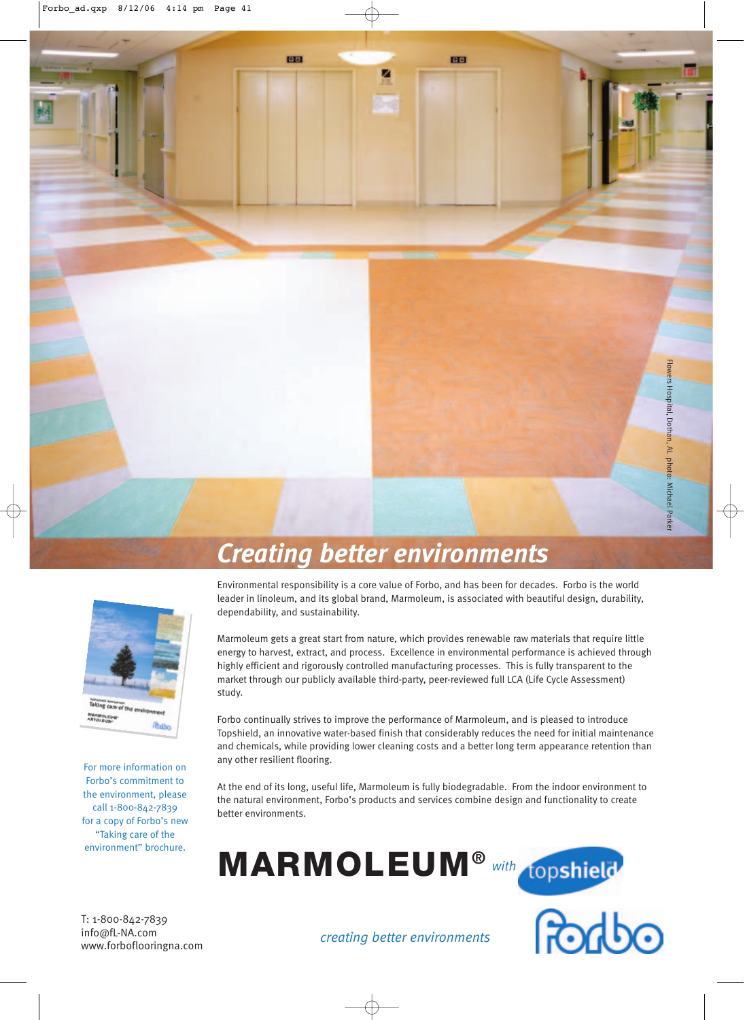

# *Creating better environments*



For more information on Forbo's commitment to the environment, please call 1-800-842-7839 for a copy of Forbo's new "Taking care of the environment" brochure.

Environmental responsibility is a core value of Forbo, and has been for decades. Forbo is the world leader in linoleum, and its global brand, Marmoleum, is associated with beautiful design, durability, dependability, and sustainability.

Marmoleum gets a great start from nature, which provides renewable raw materials that require little energy to harvest, extract, and process. Excellence in environmental performance is achieved through highly efficient and rigorously controlled manufacturing processes. This is fully transparent to the market through our publicly available third-party, peer-reviewed full LCA (Life Cycle Assessment) study.

Forbo continually strives to improve the performance of Marmoleum, and is pleased to introduce Topshield, an innovative water-based finish that considerably reduces the need for initial maintenance and chemicals, while providing lower cleaning costs and a better long term appearance retention than any other resilient flooring.

At the end of its long, useful life, Marmoleum is fully biodegradable. From the indoor environment to the natural environment, Forbo's products and services combine design and functionality to create better environments.

**MARMOLEUM®** *with*





T: 1-800-842-7839 info@fL-NA.com www.forboflooringna.com

*creating better environments*